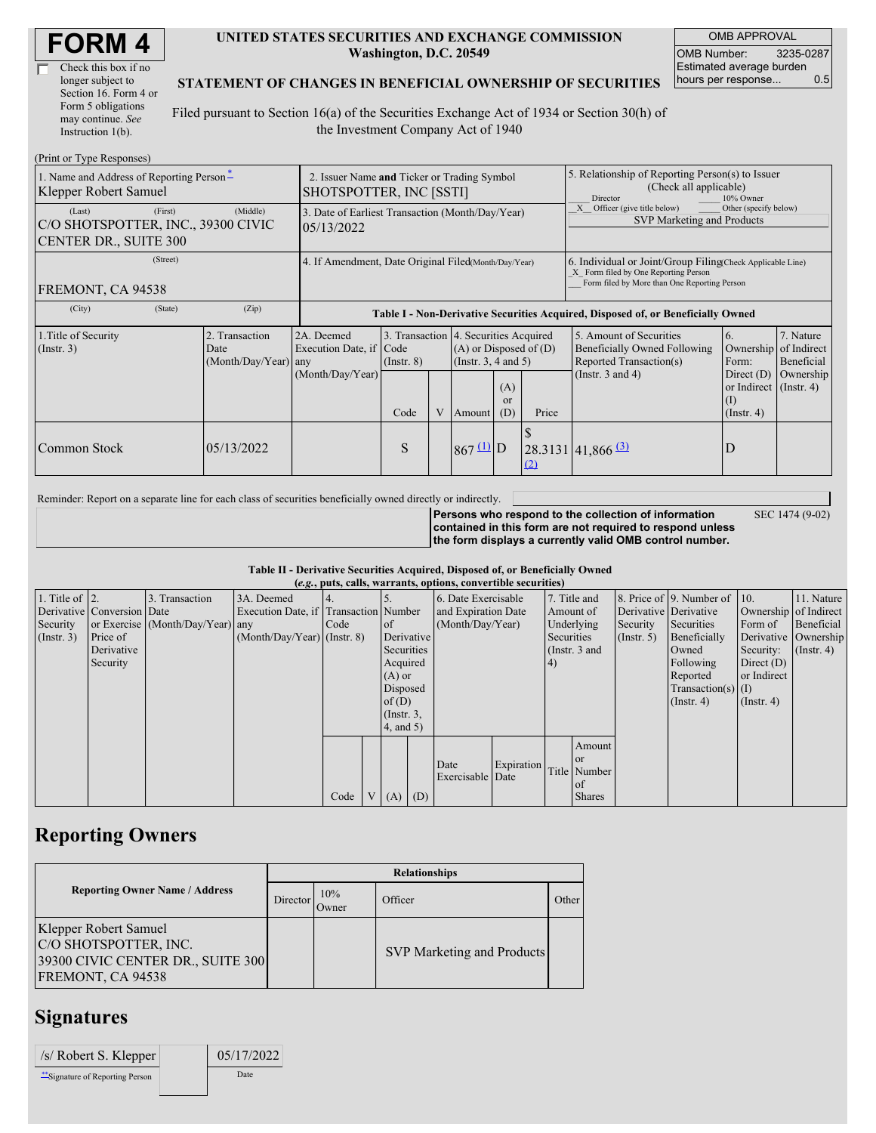| <b>FORM4</b> |
|--------------|
|--------------|

| Check this box if no  |  |
|-----------------------|--|
| longer subject to     |  |
| Section 16. Form 4 or |  |
| Form 5 obligations    |  |
| may continue. See     |  |
| Instruction 1(b).     |  |

#### **UNITED STATES SECURITIES AND EXCHANGE COMMISSION Washington, D.C. 20549**

OMB APPROVAL OMB Number: 3235-0287 Estimated average burden hours per response... 0.5

#### **STATEMENT OF CHANGES IN BENEFICIAL OWNERSHIP OF SECURITIES**

Filed pursuant to Section 16(a) of the Securities Exchange Act of 1934 or Section 30(h) of the Investment Company Act of 1940

| (Print or Type Responses)                                                               |                                                                        |                                                                                  |                                 |   |                                                                                                                                             |  |                                                                                                                                                    |                                                                                                             |                                                                                                    |                                      |
|-----------------------------------------------------------------------------------------|------------------------------------------------------------------------|----------------------------------------------------------------------------------|---------------------------------|---|---------------------------------------------------------------------------------------------------------------------------------------------|--|----------------------------------------------------------------------------------------------------------------------------------------------------|-------------------------------------------------------------------------------------------------------------|----------------------------------------------------------------------------------------------------|--------------------------------------|
| 1. Name and Address of Reporting Person-<br>Klepper Robert Samuel                       | 2. Issuer Name and Ticker or Trading Symbol<br>SHOTSPOTTER, INC [SSTI] |                                                                                  |                                 |   |                                                                                                                                             |  | 5. Relationship of Reporting Person(s) to Issuer<br>(Check all applicable)<br>10% Owner<br><b>Director</b>                                         |                                                                                                             |                                                                                                    |                                      |
| (First)<br>(Last)<br>C/O SHOTSPOTTER, INC., 39300 CIVIC<br><b>CENTER DR., SUITE 300</b> | 3. Date of Earliest Transaction (Month/Day/Year)<br>05/13/2022         |                                                                                  |                                 |   |                                                                                                                                             |  | Other (specify below)<br>Officer (give title below)<br>SVP Marketing and Products                                                                  |                                                                                                             |                                                                                                    |                                      |
| (Street)<br>FREMONT, CA 94538                                                           | 4. If Amendment, Date Original Filed(Month/Day/Year)                   |                                                                                  |                                 |   |                                                                                                                                             |  | 6. Individual or Joint/Group Filing Check Applicable Line)<br>X Form filed by One Reporting Person<br>Form filed by More than One Reporting Person |                                                                                                             |                                                                                                    |                                      |
| (City)<br>(State)                                                                       | (Zip)                                                                  | Table I - Non-Derivative Securities Acquired, Disposed of, or Beneficially Owned |                                 |   |                                                                                                                                             |  |                                                                                                                                                    |                                                                                                             |                                                                                                    |                                      |
| 1. Title of Security<br>$($ Instr. 3 $)$                                                | 2. Transaction<br>Date<br>(Month/Day/Year) any                         | 2A. Deemed<br>Execution Date, if<br>(Month/Day/Year)                             | Code<br>$($ Instr. $8)$<br>Code | V | 3. Transaction 4. Securities Acquired<br>$(A)$ or Disposed of $(D)$<br>(Insert. 3, 4 and 5)<br>(A)<br><sub>or</sub><br>(D)<br><b>Amount</b> |  | Price                                                                                                                                              | 5. Amount of Securities<br>Beneficially Owned Following<br>Reported Transaction(s)<br>(Instr. $3$ and $4$ ) | 6.<br>Ownership of Indirect<br>Form:<br>Direct $(D)$<br>or Indirect (Instr. 4)<br>$($ Instr. 4 $)$ | 7. Nature<br>Beneficial<br>Ownership |
| Common Stock                                                                            | 05/13/2022                                                             |                                                                                  | S                               |   | $867 \underline{u}$ D                                                                                                                       |  | $\Omega$                                                                                                                                           | $28.3131   41,866 \frac{\text{(3)}}{2}$                                                                     | D                                                                                                  |                                      |

Reminder: Report on a separate line for each class of securities beneficially owned directly or indirectly.

**Persons who respond to the collection of information contained in this form are not required to respond unless the form displays a currently valid OMB control number.** SEC 1474 (9-02)

**Table II - Derivative Securities Acquired, Disposed of, or Beneficially Owned (***e.g.***, puts, calls, warrants, options, convertible securities)**

| $(c, \zeta, \mu, \zeta)$ cans, warrants, options, convertible securities) |                            |                                  |                                       |      |  |                 |            |                     |            |            |               |                       |                              |                       |                      |
|---------------------------------------------------------------------------|----------------------------|----------------------------------|---------------------------------------|------|--|-----------------|------------|---------------------|------------|------------|---------------|-----------------------|------------------------------|-----------------------|----------------------|
| 1. Title of $\vert$ 2.                                                    |                            | 3. Transaction                   | 3A. Deemed                            |      |  |                 |            | 6. Date Exercisable |            |            | 7. Title and  |                       | 8. Price of 9. Number of 10. |                       | 11. Nature           |
|                                                                           | Derivative Conversion Date |                                  | Execution Date, if Transaction Number |      |  |                 |            | and Expiration Date |            | Amount of  |               | Derivative Derivative |                              | Ownership of Indirect |                      |
| Security                                                                  |                            | or Exercise (Month/Day/Year) any |                                       | Code |  | of              |            | (Month/Day/Year)    |            |            | Underlying    | Security              | Securities                   | Form of               | Beneficial           |
| (Insert. 3)                                                               | Price of                   |                                  | $(Month/Day/Year)$ (Instr. 8)         |      |  |                 | Derivative |                     |            | Securities |               | $($ Instr. 5)         | Beneficially                 |                       | Derivative Ownership |
|                                                                           | Derivative                 |                                  |                                       |      |  | Securities      |            |                     |            |            | (Instr. 3 and |                       | Owned                        | Security:             | $($ Instr. 4)        |
|                                                                           | Security                   |                                  |                                       |      |  | Acquired        |            |                     |            | 4)         |               |                       | Following                    | Direct $(D)$          |                      |
|                                                                           |                            |                                  |                                       |      |  | $(A)$ or        |            |                     |            |            |               |                       | Reported                     | or Indirect           |                      |
|                                                                           |                            |                                  |                                       |      |  | Disposed        |            |                     |            |            |               |                       | $Transaction(s)$ (I)         |                       |                      |
|                                                                           |                            |                                  |                                       |      |  | of $(D)$        |            |                     |            |            |               |                       | $($ Instr. 4)                | $($ Instr. 4 $)$      |                      |
|                                                                           |                            |                                  |                                       |      |  | $($ Instr. 3,   |            |                     |            |            |               |                       |                              |                       |                      |
|                                                                           |                            |                                  |                                       |      |  | $4$ , and $5$ ) |            |                     |            |            |               |                       |                              |                       |                      |
|                                                                           |                            |                                  |                                       |      |  |                 |            |                     |            |            | Amount        |                       |                              |                       |                      |
|                                                                           |                            |                                  |                                       |      |  |                 |            | Date                | Expiration |            | <sub>or</sub> |                       |                              |                       |                      |
|                                                                           |                            |                                  |                                       |      |  |                 |            | Exercisable Date    |            |            | Title Number  |                       |                              |                       |                      |
|                                                                           |                            |                                  |                                       |      |  |                 |            |                     |            |            | $\alpha$ f    |                       |                              |                       |                      |
|                                                                           |                            |                                  |                                       | Code |  | V(A)            | (D)        |                     |            |            | <b>Shares</b> |                       |                              |                       |                      |

### **Reporting Owners**

|                                                                                                          | <b>Relationships</b> |              |                                   |       |  |  |  |  |
|----------------------------------------------------------------------------------------------------------|----------------------|--------------|-----------------------------------|-------|--|--|--|--|
| <b>Reporting Owner Name / Address</b>                                                                    | Director             | 10%<br>Owner | Officer                           | Other |  |  |  |  |
| Klepper Robert Samuel<br>C/O SHOTSPOTTER, INC.<br>39300 CIVIC CENTER DR., SUITE 300<br>FREMONT, CA 94538 |                      |              | <b>SVP Marketing and Products</b> |       |  |  |  |  |

# **Signatures**

| $/s/$ Robert S. Klepper        | 05/17/2022 |
|--------------------------------|------------|
| "Signature of Reporting Person | Date       |